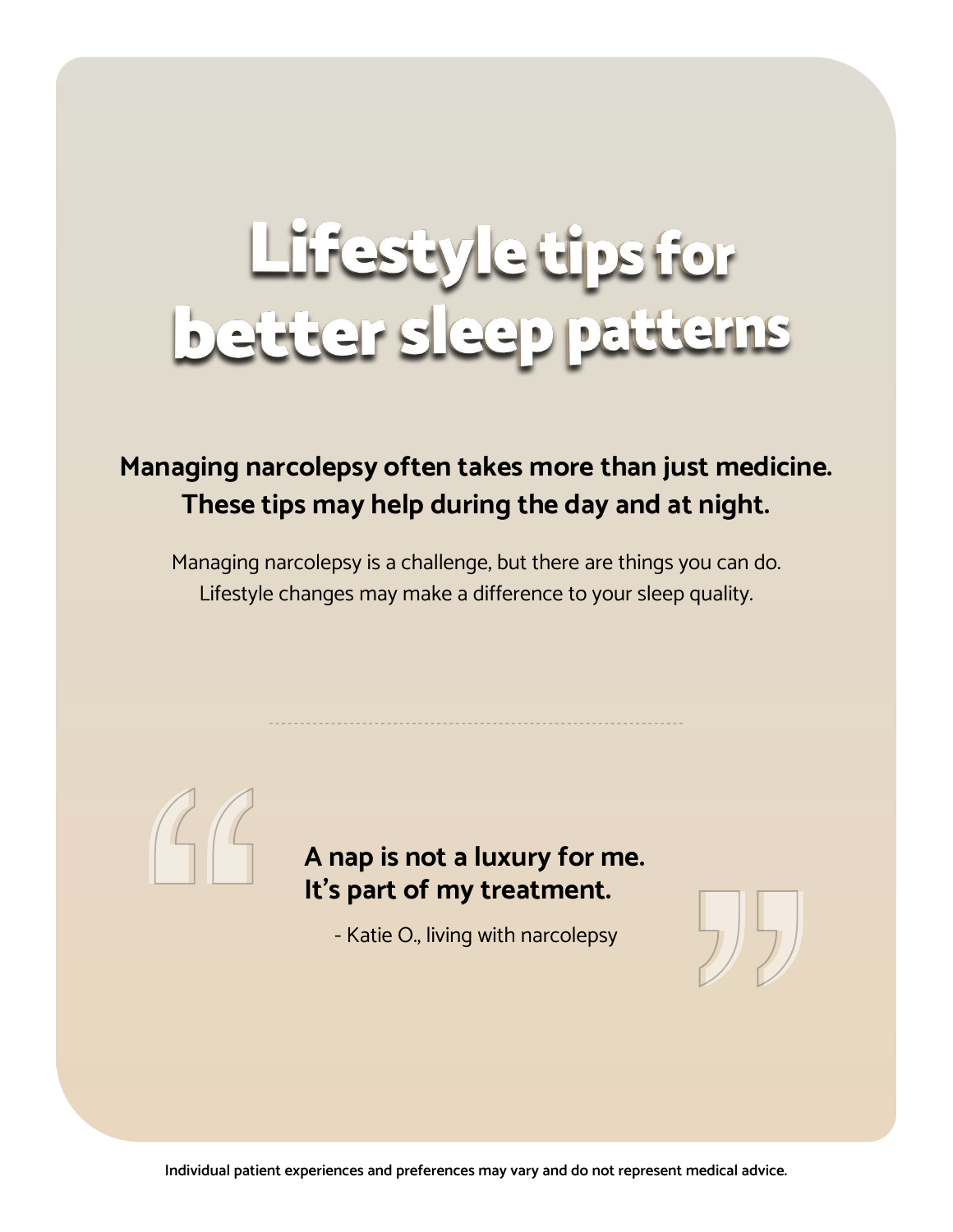# Lifestyle tips for<br>better sleep patterns

# **Managing narcolepsy often takes more than just medicine. These tips may help during the day and at night.**

Managing narcolepsy is a challenge, but there are things you can do. Lifestyle changes may make a difference to your sleep quality.



## **A nap is not a luxury for me. It's part of my treatment.**

- Katie O., living with narcolepsy